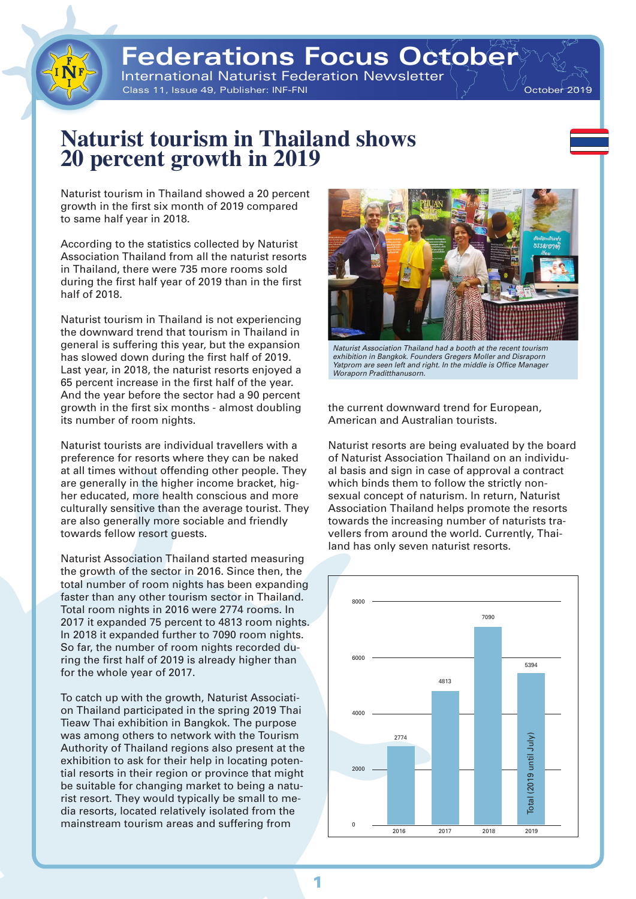# **Federations Focus Octobe**

International Naturist Federation Newsletter Class 11, Issue 49, Publisher: INF-FNI  $\sqrt{2}$  October 2019

### **Naturist tourism in Thailand shows 20 percent growth in 2019**

Naturist tourism in Thailand showed a 20 percent growth in the first six month of 2019 compared to same half year in 2018.

According to the statistics collected by Naturist Association Thailand from all the naturist resorts in Thailand, there were 735 more rooms sold during the first half year of 2019 than in the first half of 2018.

Naturist tourism in Thailand is not experiencing the downward trend that tourism in Thailand in general is suffering this year, but the expansion has slowed down during the first half of 2019. Last year, in 2018, the naturist resorts enjoyed a 65 percent increase in the first half of the year. And the year before the sector had a 90 percent growth in the first six months - almost doubling its number of room nights.

Naturist tourists are individual travellers with a preference for resorts where they can be naked at all times without offending other people. They are generally in the higher income bracket, higher educated, more health conscious and more culturally sensitive than the average tourist. They are also generally more sociable and friendly towards fellow resort guests.

Naturist Association Thailand started measuring the growth of the sector in 2016. Since then, the total number of room nights has been expanding faster than any other tourism sector in Thailand. Total room nights in 2016 were 2774 rooms. In 2017 it expanded 75 percent to 4813 room nights. In 2018 it expanded further to 7090 room nights. So far, the number of room nights recorded during the first half of 2019 is already higher than for the whole year of 2017.

To catch up with the growth, Naturist Association Thailand participated in the spring 2019 Thai Tieaw Thai exhibition in Bangkok. The purpose was among others to network with the Tourism Authority of Thailand regions also present at the exhibition to ask for their help in locating potential resorts in their region or province that might be suitable for changing market to being a naturist resort. They would typically be small to media resorts, located relatively isolated from the mainstream tourism areas and suffering from



*Naturist Association Thailand had a booth at the recent tourism exhibition in Bangkok. Founders Gregers Moller and Disraporn Yatprom are seen left and right. In the middle is Office Manager Woraporn Praditthanusorn.*

the current downward trend for European, American and Australian tourists.

Naturist resorts are being evaluated by the board of Naturist Association Thailand on an individual basis and sign in case of approval a contract which binds them to follow the strictly nonsexual concept of naturism. In return, Naturist Association Thailand helps promote the resorts towards the increasing number of naturists travellers from around the world. Currently, Thailand has only seven naturist resorts.

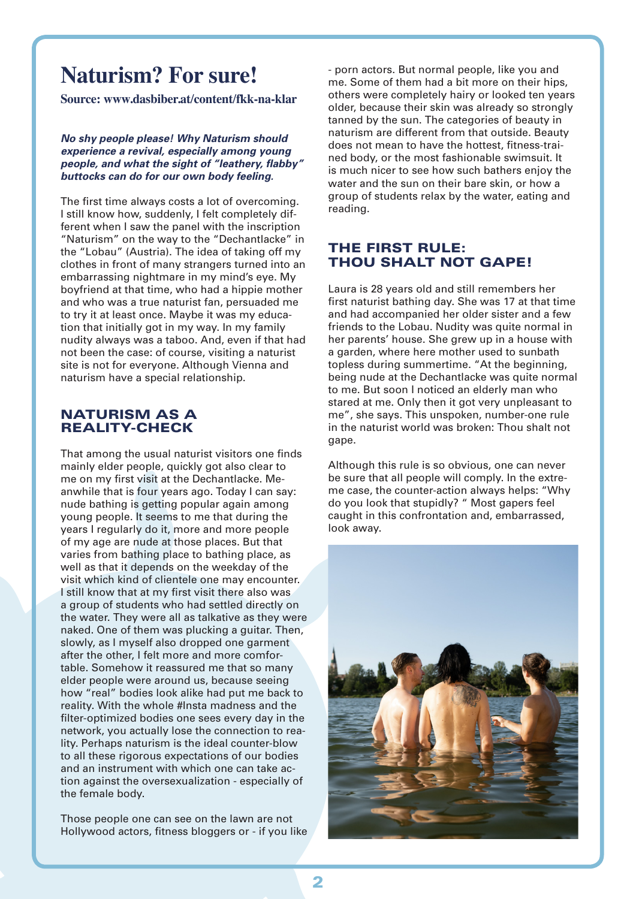# **Naturism? For sure!**

**Source: www.dasbiber.at/content/fkk-na-klar**

*No shy people please! Why Naturism should experience a revival, especially among young people, and what the sight of "leathery, flabby" buttocks can do for our own body feeling.*

The first time always costs a lot of overcoming. I still know how, suddenly, I felt completely different when I saw the panel with the inscription "Naturism" on the way to the "Dechantlacke" in the "Lobau" (Austria). The idea of taking off my clothes in front of many strangers turned into an embarrassing nightmare in my mind's eye. My boyfriend at that time, who had a hippie mother and who was a true naturist fan, persuaded me to try it at least once. Maybe it was my education that initially got in my way. In my family nudity always was a taboo. And, even if that had not been the case: of course, visiting a naturist site is not for everyone. Although Vienna and naturism have a special relationship.

#### NATURISM AS A REALITY-CHECK

That among the usual naturist visitors one finds mainly elder people, quickly got also clear to me on my first visit at the Dechantlacke. Meanwhile that is four years ago. Today I can say: nude bathing is getting popular again among young people. It seems to me that during the years I regularly do it, more and more people of my age are nude at those places. But that varies from bathing place to bathing place, as well as that it depends on the weekday of the visit which kind of clientele one may encounter. I still know that at my first visit there also was a group of students who had settled directly on the water. They were all as talkative as they were naked. One of them was plucking a guitar. Then, slowly, as I myself also dropped one garment after the other, I felt more and more comfortable. Somehow it reassured me that so many elder people were around us, because seeing how "real" bodies look alike had put me back to reality. With the whole #Insta madness and the filter-optimized bodies one sees every day in the network, you actually lose the connection to reality. Perhaps naturism is the ideal counter-blow to all these rigorous expectations of our bodies and an instrument with which one can take action against the oversexualization - especially of the female body.

Those people one can see on the lawn are not Hollywood actors, fitness bloggers or - if you like - porn actors. But normal people, like you and me. Some of them had a bit more on their hips, others were completely hairy or looked ten years older, because their skin was already so strongly tanned by the sun. The categories of beauty in naturism are different from that outside. Beauty does not mean to have the hottest, fitness-trained body, or the most fashionable swimsuit. It is much nicer to see how such bathers enjoy the water and the sun on their bare skin, or how a group of students relax by the water, eating and reading.

#### THE FIRST RULE: THOU SHALT NOT GAPE!

Laura is 28 years old and still remembers her first naturist bathing day. She was 17 at that time and had accompanied her older sister and a few friends to the Lobau. Nudity was quite normal in her parents' house. She grew up in a house with a garden, where here mother used to sunbath topless during summertime. "At the beginning, being nude at the Dechantlacke was quite normal to me. But soon I noticed an elderly man who stared at me. Only then it got very unpleasant to me", she says. This unspoken, number-one rule in the naturist world was broken: Thou shalt not gape.

Although this rule is so obvious, one can never be sure that all people will comply. In the extreme case, the counter-action always helps: "Why do you look that stupidly? " Most gapers feel caught in this confrontation and, embarrassed, look away.

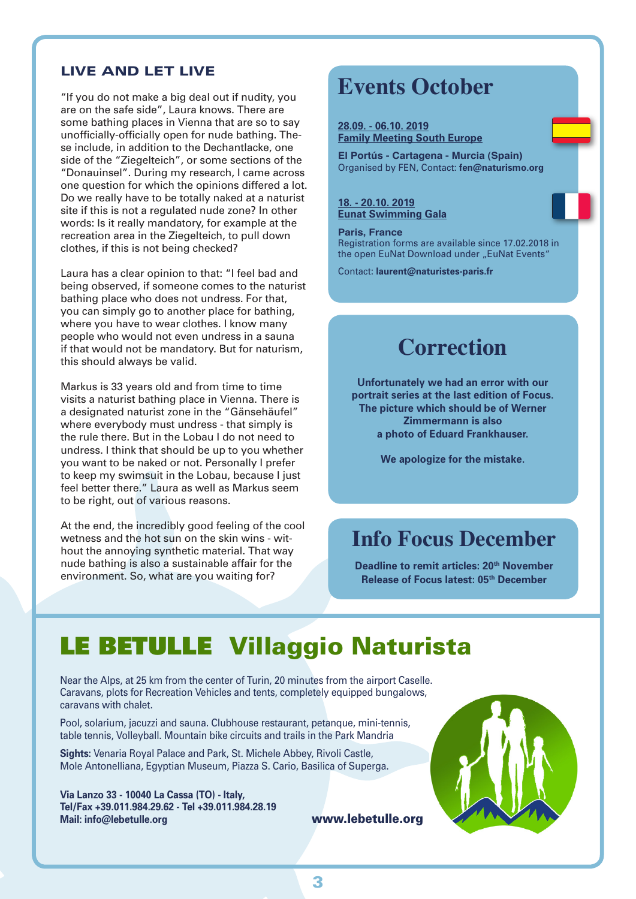#### LIVE AND LET LIVE

"If you do not make a big deal out if nudity, you are on the safe side", Laura knows. There are some bathing places in Vienna that are so to say unofficially-officially open for nude bathing. These include, in addition to the Dechantlacke, one side of the "Ziegelteich", or some sections of the "Donauinsel". During my research, I came across one question for which the opinions differed a lot. Do we really have to be totally naked at a naturist site if this is not a regulated nude zone? In other words: Is it really mandatory, for example at the recreation area in the Ziegelteich, to pull down clothes, if this is not being checked?

Laura has a clear opinion to that: "I feel bad and being observed, if someone comes to the naturist bathing place who does not undress. For that, you can simply go to another place for bathing, where you have to wear clothes. I know many people who would not even undress in a sauna if that would not be mandatory. But for naturism, this should always be valid.

Markus is 33 years old and from time to time visits a naturist bathing place in Vienna. There is a designated naturist zone in the "Gänsehäufel" where everybody must undress - that simply is the rule there. But in the Lobau I do not need to undress. I think that should be up to you whether you want to be naked or not. Personally I prefer to keep my swimsuit in the Lobau, because I just feel better there." Laura as well as Markus seem to be right, out of various reasons.

At the end, the incredibly good feeling of the cool wetness and the hot sun on the skin wins - without the annoying synthetic material. That way nude bathing is also a sustainable affair for the environment. So, what are you waiting for?

### **Events October**

**28.09. - 06.10. 2019 Family Meeting South Europe**

**El Portús - Cartagena - Murcia (Spain)** Organised by FEN, Contact: **fen@naturismo.org**

**18. - 20.10. 2019 Eunat Swimming Gala**

**Paris, France** Registration forms are available since 17.02.2018 in the open EuNat Download under "EuNat Events"

Contact: **laurent@naturistes-paris.fr**

### **Correction**

**Unfortunately we had an error with our portrait series at the last edition of Focus. The picture which should be of Werner Zimmermann is also a photo of Eduard Frankhauser.** 

**We apologize for the mistake.**

## **Info Focus December**

**Deadline to remit articles: 20<sup>th</sup> November Release of Focus latest: 05th December**

# LE BETULLE Villaggio Naturista

Near the Alps, at 25 km from the center of Turin, 20 minutes from the airport Caselle. Caravans, plots for Recreation Vehicles and tents, completely equipped bungalows, caravans with chalet.

Pool, solarium, jacuzzi and sauna. Clubhouse restaurant, petanque, mini-tennis, table tennis, Volleyball. Mountain bike circuits and trails in the Park Mandria

**Sights:** Venaria Royal Palace and Park, St. Michele Abbey, Rivoli Castle, Mole Antonelliana, Egyptian Museum, Piazza S. Cario, Basilica of Superga.

**Via Lanzo 33 - 10040 La Cassa (TO) - Italy, Tel/Fax +39.011.984.29.62 - Tel +39.011.984.28.19 Mail: info@lebetulle.org** www.lebetulle.org

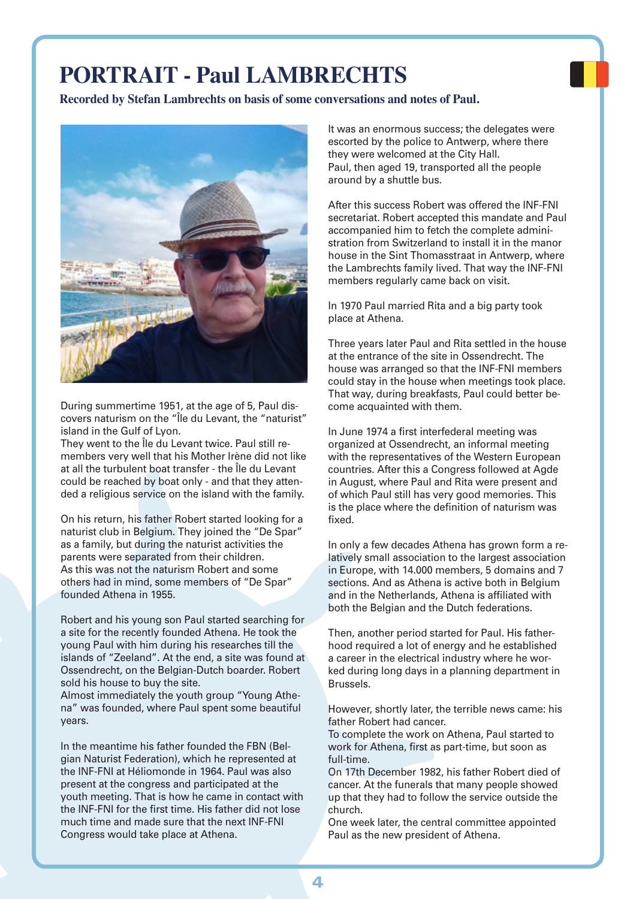# **PORTRAIT - Paul LAMBRECHTS**

**Recorded by Stefan Lambrechts on basis of some conversations and notes of Paul.**



During summertime 1951, at the age of 5, Paul discovers naturism on the "Île du Levant, the "naturist" island in the Gulf of Lyon.

They went to the Île du Levant twice. Paul still remembers very well that his Mother Irène did not like at all the turbulent boat transfer - the Île du Levant could be reached by boat only - and that they attended a religious service on the island with the family.

On his return, his father Robert started looking for a naturist club in Belgium. They joined the "De Spar" as a family, but during the naturist activities the parents were separated from their children. As this was not the naturism Robert and some others had in mind, some members of "De Spar" founded Athena in 1955.

Robert and his young son Paul started searching for a site for the recently founded Athena. He took the young Paul with him during his researches till the islands of "Zeeland". At the end, a site was found at Ossendrecht, on the Belgian-Dutch boarder. Robert sold his house to buy the site.

Almost immediately the youth group "Young Athena" was founded, where Paul spent some beautiful years.

In the meantime his father founded the FBN (Belgian Naturist Federation), which he represented at the INF-FNI at Héliomonde in 1964. Paul was also present at the congress and participated at the youth meeting. That is how he came in contact with the INF-FNI for the first time. His father did not lose much time and made sure that the next INF-FNI Congress would take place at Athena.

It was an enormous success; the delegates were escorted by the police to Antwerp, where there they were welcomed at the City Hall. Paul, then aged 19, transported all the people around by a shuttle bus.

After this success Robert was offered the INF-FNI secretariat. Robert accepted this mandate and Paul accompanied him to fetch the complete administration from Switzerland to install it in the manor house in the Sint Thomasstraat in Antwerp, where the Lambrechts family lived. That way the INF-FNI members regularly came back on visit.

In 1970 Paul married Rita and a big party took place at Athena.

Three years later Paul and Rita settled in the house at the entrance of the site in Ossendrecht. The house was arranged so that the INF-FNI members could stay in the house when meetings took place. That way, during breakfasts, Paul could better become acquainted with them.

In June 1974 a first interfederal meeting was organized at Ossendrecht, an informal meeting with the representatives of the Western European countries. After this a Congress followed at Agde in August, where Paul and Rita were present and of which Paul still has very good memories. This is the place where the definition of naturism was fixed.

In only a few decades Athena has grown form a relatively small association to the largest association in Europe, with 14.000 members, 5 domains and 7 sections. And as Athena is active both in Belgium and in the Netherlands, Athena is affiliated with both the Belgian and the Dutch federations.

Then, another period started for Paul. His fatherhood required a lot of energy and he established a career in the electrical industry where he worked during long days in a planning department in Brussels.

However, shortly later, the terrible news came: his father Robert had cancer.

To complete the work on Athena, Paul started to work for Athena, first as part-time, but soon as full-time.

On 17th December 1982, his father Robert died of cancer. At the funerals that many people showed up that they had to follow the service outside the church.

One week later, the central committee appointed Paul as the new president of Athena.